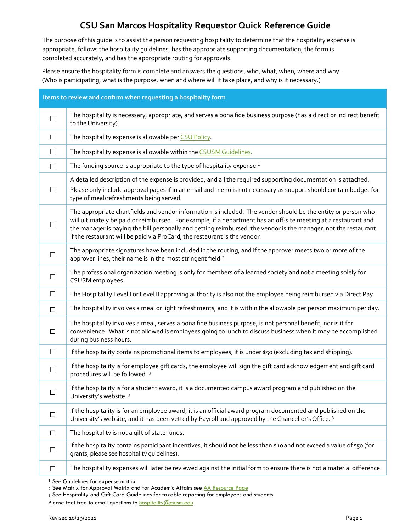## **CSU San Marcos Hospitality Requestor Quick Reference Guide**

The purpose of this guide is to assist the person requesting hospitality to determine that the hospitality expense is appropriate, follows the hospitality guidelines, has the appropriate supporting documentation, the form is completed accurately, and has the appropriate routing for approvals.

Please ensure the hospitality form is complete and answers the questions, who, what, when, where and why. (Who is participating, what is the purpose, when and where will it take place, and why is it necessary.)

| Items to review and confirm when requesting a hospitality form |                                                                                                                                                                                                                                                                                                                                                                                                                                   |  |
|----------------------------------------------------------------|-----------------------------------------------------------------------------------------------------------------------------------------------------------------------------------------------------------------------------------------------------------------------------------------------------------------------------------------------------------------------------------------------------------------------------------|--|
| $\Box$                                                         | The hospitality is necessary, appropriate, and serves a bona fide business purpose (has a direct or indirect benefit<br>to the University).                                                                                                                                                                                                                                                                                       |  |
| $\Box$                                                         | The hospitality expense is allowable per CSU Policy.                                                                                                                                                                                                                                                                                                                                                                              |  |
| $\Box$                                                         | The hospitality expense is allowable within the CSUSM Guidelines.                                                                                                                                                                                                                                                                                                                                                                 |  |
| $\Box$                                                         | The funding source is appropriate to the type of hospitality expense. <sup>1</sup>                                                                                                                                                                                                                                                                                                                                                |  |
| П                                                              | A detailed description of the expense is provided, and all the required supporting documentation is attached.<br>Please only include approval pages if in an email and menu is not necessary as support should contain budget for<br>type of meal/refreshments being served.                                                                                                                                                      |  |
| ⊔                                                              | The appropriate chartfields and vendor information is included. The vendor should be the entity or person who<br>will ultimately be paid or reimbursed. For example, if a department has an off-site meeting at a restaurant and<br>the manager is paying the bill personally and getting reimbursed, the vendor is the manager, not the restaurant.<br>If the restaurant will be paid via ProCard, the restaurant is the vendor. |  |
| □                                                              | The appropriate signatures have been included in the routing, and if the approver meets two or more of the<br>approver lines, their name is in the most stringent field. <sup>2</sup>                                                                                                                                                                                                                                             |  |
| ⊔                                                              | The professional organization meeting is only for members of a learned society and not a meeting solely for<br>CSUSM employees.                                                                                                                                                                                                                                                                                                   |  |
| $\Box$                                                         | The Hospitality Level I or Level II approving authority is also not the employee being reimbursed via Direct Pay.                                                                                                                                                                                                                                                                                                                 |  |
| $\Box$                                                         | The hospitality involves a meal or light refreshments, and it is within the allowable per person maximum per day.                                                                                                                                                                                                                                                                                                                 |  |
| □                                                              | The hospitality involves a meal, serves a bona fide business purpose, is not personal benefit, nor is it for<br>convenience. What is not allowed is employees going to lunch to discuss business when it may be accomplished<br>during business hours.                                                                                                                                                                            |  |
| $\Box$                                                         | If the hospitality contains promotional items to employees, it is under \$50 (excluding tax and shipping).                                                                                                                                                                                                                                                                                                                        |  |
| ⊔                                                              | If the hospitality is for employee gift cards, the employee will sign the gift card acknowledgement and gift card<br>procedures will be followed. <sup>3</sup>                                                                                                                                                                                                                                                                    |  |
| □                                                              | If the hospitality is for a student award, it is a documented campus award program and published on the<br>University's website. 3                                                                                                                                                                                                                                                                                                |  |
| $\Box$                                                         | If the hospitality is for an employee award, it is an official award program documented and published on the<br>University's website, and it has been vetted by Payroll and approved by the Chancellor's Office. 3                                                                                                                                                                                                                |  |
| $\Box$                                                         | The hospitality is not a gift of state funds.                                                                                                                                                                                                                                                                                                                                                                                     |  |
| ⊔                                                              | If the hospitality contains participant incentives, it should not be less than \$10 and not exceed a value of \$50 (for<br>grants, please see hospitality quidelines).                                                                                                                                                                                                                                                            |  |
| ⊔                                                              | The hospitality expenses will later be reviewed against the initial form to ensure there is not a material difference.                                                                                                                                                                                                                                                                                                            |  |

<sup>&</sup>lt;sup>1</sup> See Guidelines for expense matrix

<sup>2</sup> See Matrix for Approval Matrix and for Academic Affairs see [AA Resource Page](https://www.csusm.edu/par/resource_operations/index.html)

<sup>3</sup> See Hospitality and Gift Card Guidelines for taxable reporting for employees and students

Please feel free to email questions to **hospitality@csusm.edu**